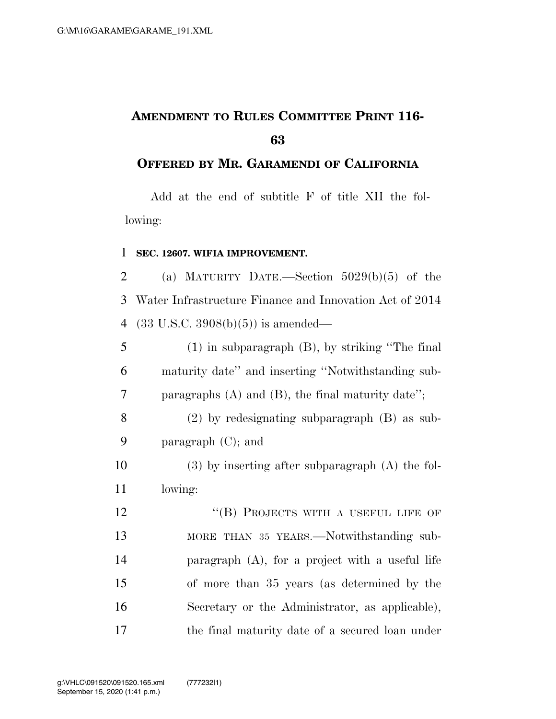## **AMENDMENT TO RULES COMMITTEE PRINT 116-**

## **OFFERED BY MR. GARAMENDI OF CALIFORNIA**

Add at the end of subtitle F of title XII the following:

## **SEC. 12607. WIFIA IMPROVEMENT.**

2 (a) MATURITY DATE.—Section  $5029(b)(5)$  of the Water Infrastructure Finance and Innovation Act of 2014 (33 U.S.C. 3908(b)(5)) is amended—

 (1) in subparagraph (B), by striking ''The final maturity date'' and inserting ''Notwithstanding sub-paragraphs (A) and (B), the final maturity date'';

 (2) by redesignating subparagraph (B) as sub-paragraph (C); and

 (3) by inserting after subparagraph (A) the fol-lowing:

12 "(B) PROJECTS WITH A USEFUL LIFE OF MORE THAN 35 YEARS.—Notwithstanding sub- paragraph (A), for a project with a useful life of more than 35 years (as determined by the Secretary or the Administrator, as applicable), the final maturity date of a secured loan under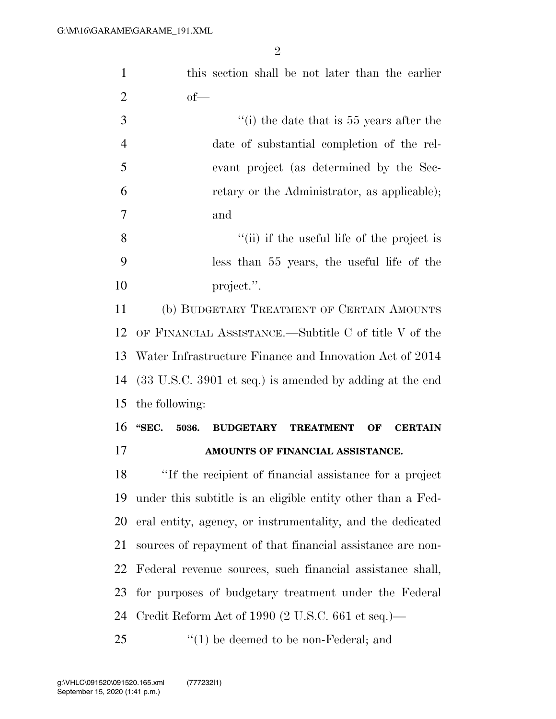| $\mathbf{1}$   | this section shall be not later than the earlier                               |  |  |
|----------------|--------------------------------------------------------------------------------|--|--|
| $\overline{2}$ | $of$ —                                                                         |  |  |
| 3              | $``(i)$ the date that is 55 years after the                                    |  |  |
| $\overline{4}$ | date of substantial completion of the rel-                                     |  |  |
| 5              | evant project (as determined by the Sec-                                       |  |  |
| 6              | retary or the Administrator, as applicable);                                   |  |  |
| 7              | and                                                                            |  |  |
| 8              | "(ii) if the useful life of the project is                                     |  |  |
| 9              | less than 55 years, the useful life of the                                     |  |  |
| 10             | project.".                                                                     |  |  |
| 11             | (b) BUDGETARY TREATMENT OF CERTAIN AMOUNTS                                     |  |  |
| 12             | OF FINANCIAL ASSISTANCE.—Subtitle C of title V of the                          |  |  |
| 13             | Water Infrastructure Finance and Innovation Act of 2014                        |  |  |
| 14             | $(33 \text{ U.S.C. } 3901 \text{ et seq.})$ is amended by adding at the end    |  |  |
| 15             | the following:                                                                 |  |  |
| 16             | "SEC.<br>5036.<br><b>BUDGETARY</b><br><b>TREATMENT</b><br>OF<br><b>CERTAIN</b> |  |  |
| 17             | AMOUNTS OF FINANCIAL ASSISTANCE.                                               |  |  |
| 18             | "If the recipient of financial assistance for a project                        |  |  |
| 19             | under this subtitle is an eligible entity other than a Fed-                    |  |  |
| 20             | eral entity, agency, or instrumentality, and the dedicated                     |  |  |
| 21             | sources of repayment of that financial assistance are non-                     |  |  |
| 22             | Federal revenue sources, such financial assistance shall,                      |  |  |
| 23             | for purposes of budgetary treatment under the Federal                          |  |  |
| 24             | Credit Reform Act of 1990 (2 U.S.C. 661 et seq.)—                              |  |  |
| 25             | $\cdot$ (1) be deemed to be non-Federal; and                                   |  |  |